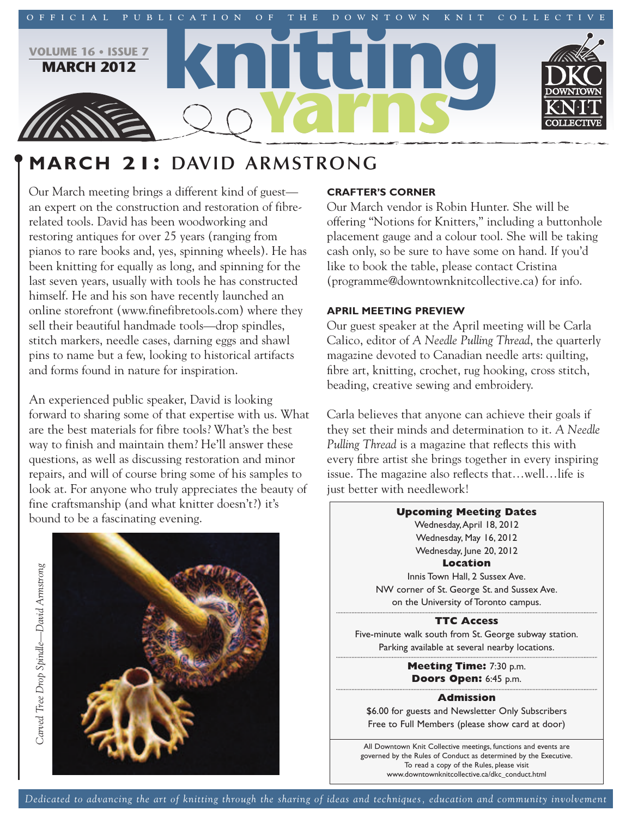

# **MARCH 21: DAVID ARMSTRONG**

Our March meeting brings a different kind of guest an expert on the construction and restoration of fibrerelated tools. David has been woodworking and restoring antiques for over 25 years (ranging from pianos to rare books and, yes, spinning wheels). He has been knitting for equally as long, and spinning for the last seven years, usually with tools he has constructed himself. He and his son have recently launched an online storefront (www.finefibretools.com) where they sell their beautiful handmade tools—drop spindles, stitch markers, needle cases, darning eggs and shawl pins to name but a few, looking to historical artifacts and forms found in nature for inspiration.

An experienced public speaker, David is looking forward to sharing some of that expertise with us. What are the best materials for fibre tools? What's the best way to finish and maintain them? He'll answer these questions, as well as discussing restoration and minor repairs, and will of course bring some of his samples to look at. For anyone who truly appreciates the beauty of fine craftsmanship (and what knitter doesn't?) it's bound to be a fascinating evening.



# **CRAFTER'S CORNER**

Our March vendor is Robin Hunter. She will be offering "Notions for Knitters," including a buttonhole placement gauge and a colour tool. She will be taking cash only, so be sure to have some on hand. If you'd like to book the table, please contact Cristina (programme@downtownknitcollective.ca) for info.

# **APRIL MEETING PREVIEW**

Our guest speaker at the April meeting will be Carla Calico, editor of *A Needle Pulling Thread*, the quarterly magazine devoted to Canadian needle arts: quilting, fibre art, knitting, crochet, rug hooking, cross stitch, beading, creative sewing and embroidery.

Carla believes that anyone can achieve their goals if they set their minds and determination to it. *A Needle Pulling Thread* is a magazine that reflects this with every fibre artist she brings together in every inspiring issue. The magazine also reflects that…well…life is just better with needlework!

**Upcoming Meeting Dates** Wednesday,April 18, 2012 Wednesday, May 16, 2012 Wednesday, June 20, 2012 **Location** Innis Town Hall, 2 Sussex Ave. NW corner of St. George St. and Sussex Ave. on the University of Toronto campus. **TTC Access** Five-minute walk south from St. George subway station. Parking available at several nearby locations. **Meeting Time:** 7:30 p.m. **Doors Open:** 6:45 p.m. **Admission** \$6.00 for guests and Newsletter Only Subscribers Free to Full Members (please show card at door)

All Downtown Knit Collective meetings, functions and events are governed by the Rules of Conduct as determined by the Executive. To read a copy of the Rules, please visit www.downtownknitcollective.ca/dkc\_conduct.html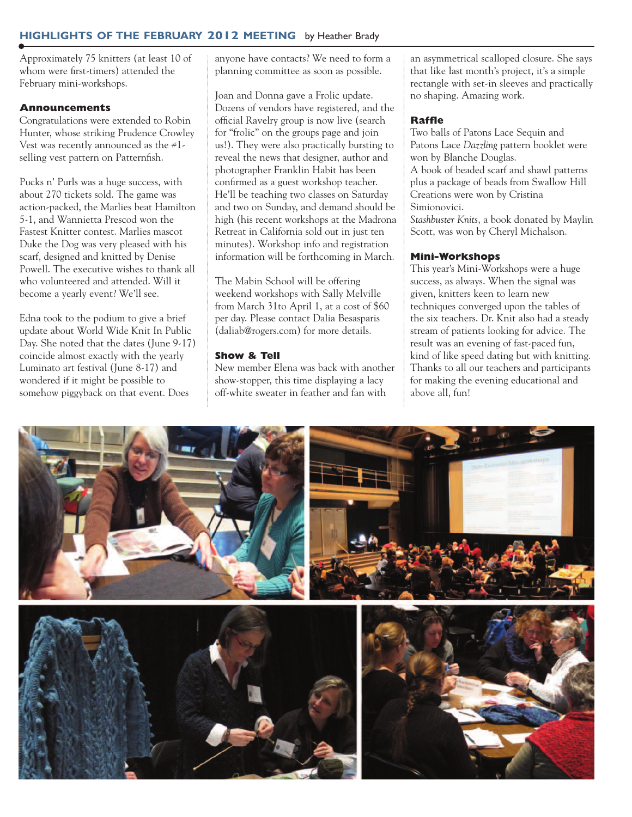# **HIGHLIGHTS OF THE FEBRUARY 2012 MEETING** by Heather Brady

Approximately 75 knitters (at least 10 of whom were first-timers) attended the February mini-workshops.

## **Announcements**

Congratulations were extended to Robin Hunter, whose striking Prudence Crowley Vest was recently announced as the #1 selling vest pattern on Patternfish.

Pucks n' Purls was a huge success, with about 270 tickets sold. The game was action-packed, the Marlies beat Hamilton 5-1, and Wannietta Prescod won the Fastest Knitter contest. Marlies mascot Duke the Dog was very pleased with his scarf, designed and knitted by Denise Powell. The executive wishes to thank all who volunteered and attended. Will it become a yearly event? We'll see.

Edna took to the podium to give a brief update about World Wide Knit In Public Day. She noted that the dates (June 9-17) coincide almost exactly with the yearly Luminato art festival (June 8-17) and wondered if it might be possible to somehow piggyback on that event. Does

anyone have contacts? We need to form a planning committee as soon as possible.

Joan and Donna gave a Frolic update. Dozens of vendors have registered, and the official Ravelry group is now live (search for "frolic" on the groups page and join us!). They were also practically bursting to reveal the news that designer, author and photographer Franklin Habit has been confirmed as a guest workshop teacher. He'll be teaching two classes on Saturday and two on Sunday, and demand should be high (his recent workshops at the Madrona Retreat in California sold out in just ten minutes). Workshop info and registration information will be forthcoming in March.

The Mabin School will be offering weekend workshops with Sally Melville from March 31to April 1, at a cost of \$60 per day. Please contact Dalia Besasparis (daliab@rogers.com) for more details.

## **Show & Tell**

New member Elena was back with another show-stopper, this time displaying a lacy off-white sweater in feather and fan with

an asymmetrical scalloped closure. She says that like last month's project, it's a simple rectangle with set-in sleeves and practically no shaping. Amazing work.

## **Raffle**

Two balls of Patons Lace Sequin and Patons Lace *Dazzling* pattern booklet were won by Blanche Douglas. A book of beaded scarf and shawl patterns plus a package of beads from Swallow Hill Creations were won by Cristina Simionovici.

*Stashbuster Knits*, a book donated by Maylin Scott, was won by Cheryl Michalson.

## **Mini-Workshops**

This year's Mini-Workshops were a huge success, as always. When the signal was given, knitters keen to learn new techniques converged upon the tables of the six teachers. Dr. Knit also had a steady stream of patients looking for advice. The result was an evening of fast-paced fun, kind of like speed dating but with knitting. Thanks to all our teachers and participants for making the evening educational and above all, fun!

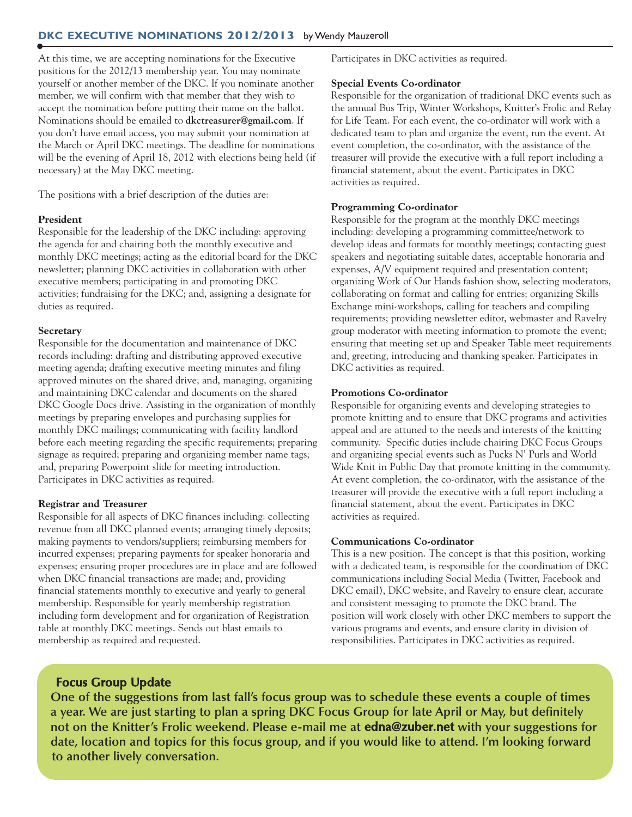# **DKC EXECUTIVE NOMINATIONS 2012/2013** by Wendy Mauzeroll

At this time, we are accepting nominations for the Executive positions for the 2012/13 membership year. You may nominate yourself or another member of the DKC. If you nominate another member, we will confirm with that member that they wish to accept the nomination before putting their name on the ballot. Nominations should be emailed to **dkctreasurer@gmail.com**. If you don't have email access, you may submit your nomination at the March or April DKC meetings. The deadline for nominations will be the evening of April 18, 2012 with elections being held (if necessary) at the May DKC meeting.

The positions with a brief description of the duties are:

#### **President**

Responsible for the leadership of the DKC including: approving the agenda for and chairing both the monthly executive and monthly DKC meetings; acting as the editorial board for the DKC newsletter; planning DKC activities in collaboration with other executive members; participating in and promoting DKC activities; fundraising for the DKC; and, assigning a designate for duties as required.

#### **Secretary**

Responsible for the documentation and maintenance of DKC records including: drafting and distributing approved executive meeting agenda; drafting executive meeting minutes and filing approved minutes on the shared drive; and, managing, organizing and maintaining DKC calendar and documents on the shared DKC Google Docs drive. Assisting in the organization of monthly meetings by preparing envelopes and purchasing supplies for monthly DKC mailings; communicating with facility landlord before each meeting regarding the specific requirements; preparing signage as required; preparing and organizing member name tags; and, preparing Powerpoint slide for meeting introduction. Participates in DKC activities as required.

## **Registrar and Treasurer**

Responsible for all aspects of DKC finances including: collecting revenue from all DKC planned events; arranging timely deposits; making payments to vendors/suppliers; reimbursing members for incurred expenses; preparing payments for speaker honoraria and expenses; ensuring proper procedures are in place and are followed when DKC financial transactions are made; and, providing financial statements monthly to executive and yearly to general membership. Responsible for yearly membership registration including form development and for organization of Registration table at monthly DKC meetings. Sends out blast emails to membership as required and requested.

Participates in DKC activities as required.

#### **Special Events Co-ordinator**

Responsible for the organization of traditional DKC events such as the annual Bus Trip, Winter Workshops, Knitter's Frolic and Relay for Life Team. For each event, the co-ordinator will work with a dedicated team to plan and organize the event, run the event. At event completion, the co-ordinator, with the assistance of the treasurer will provide the executive with a full report including a financial statement, about the event. Participates in DKC activities as required.

#### **Programming Co-ordinator**

Responsible for the program at the monthly DKC meetings including: developing a programming committee/network to develop ideas and formats for monthly meetings; contacting guest speakers and negotiating suitable dates, acceptable honoraria and expenses, A/V equipment required and presentation content; organizing Work of Our Hands fashion show, selecting moderators, collaborating on format and calling for entries; organizing Skills Exchange mini-workshops, calling for teachers and compiling requirements; providing newsletter editor, webmaster and Ravelry group moderator with meeting information to promote the event; ensuring that meeting set up and Speaker Table meet requirements and, greeting, introducing and thanking speaker. Participates in DKC activities as required.

# **Promotions Co-ordinator**

Responsible for organizing events and developing strategies to promote knitting and to ensure that DKC programs and activities appeal and are attuned to the needs and interests of the knitting community. Specific duties include chairing DKC Focus Groups and organizing special events such as Pucks N' Purls and World Wide Knit in Public Day that promote knitting in the community. At event completion, the co-ordinator, with the assistance of the treasurer will provide the executive with a full report including a financial statement, about the event. Participates in DKC activities as required.

#### **Communications Co-ordinator**

This is a new position. The concept is that this position, working with a dedicated team, is responsible for the coordination of DKC communications including Social Media (Twitter, Facebook and DKC email), DKC website, and Ravelry to ensure clear, accurate and consistent messaging to promote the DKC brand. The position will work closely with other DKC members to support the various programs and events, and ensure clarity in division of responsibilities. Participates in DKC activities as required.

# **Focus Group Update**

**One of the suggestions from last fall's focus group was to schedule these events a couple of times** a year. We are just starting to plan a spring DKC Focus Group for late April or May, but definitely **not on the Knitter's Frolic weekend. Please e-mail me at edna@zuber.net with your suggestions for** date, location and topics for this focus group, and if you would like to attend. I'm looking forward **to another lively conversation.**